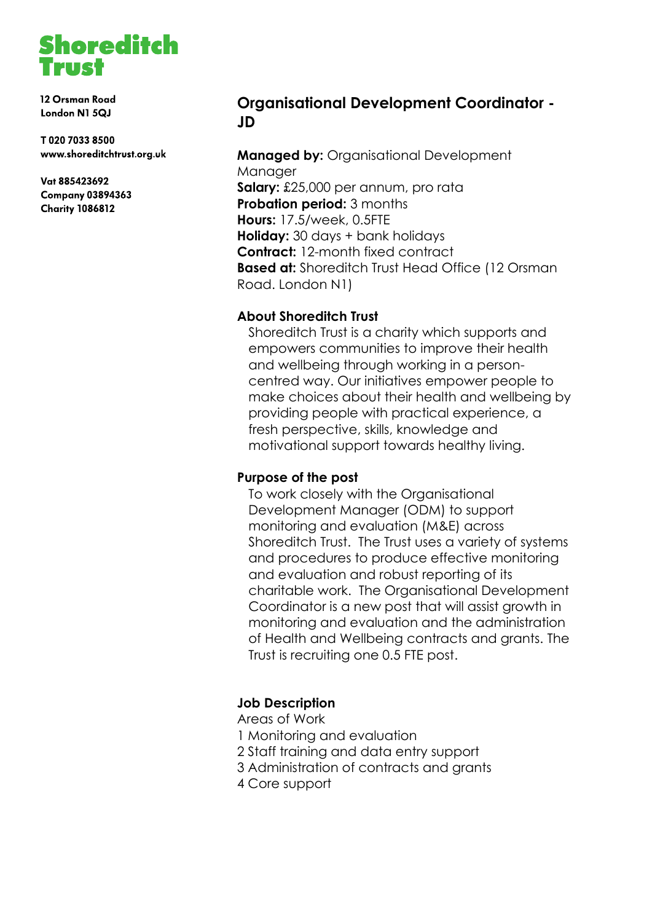

12 Orsman Road London N1 5QJ

T02070338500 www.shoreditchtrust.org.uk

Vat 885423692 **Company 03894363 Charity 1086812** 

## **Organisational Development Coordinator - JD**

**Managed by:** Organisational Development Manager **Salary:** £25,000 per annum, pro rata **Probation period: 3 months Hours:** 17.5/week, 0.5FTE **Holiday:** 30 days + bank holidays **Contract:** 12-month fixed contract **Based at:** Shoreditch Trust Head Office (12 Orsman Road. London N1)

#### **About Shoreditch Trust**

Shoreditch Trust is a charity which supports and empowers communities to improve their health and wellbeing through working in a personcentred way. Our initiatives empower people to make choices about their health and wellbeing by providing people with practical experience, a fresh perspective, skills, knowledge and motivational support towards healthy living.

#### **Purpose of the post**

To work closely with the Organisational Development Manager (ODM) to support monitoring and evaluation (M&E) across Shoreditch Trust. The Trust uses a variety of systems and procedures to produce effective monitoring and evaluation and robust reporting of its charitable work. The Organisational Development Coordinator is a new post that will assist growth in monitoring and evaluation and the administration of Health and Wellbeing contracts and grants. The Trust is recruiting one 0.5 FTE post.

### **Job Description**

Areas of Work

- 1 Monitoring and evaluation
- 2 Staff training and data entry support
- 3 Administration of contracts and grants
- 4 Core support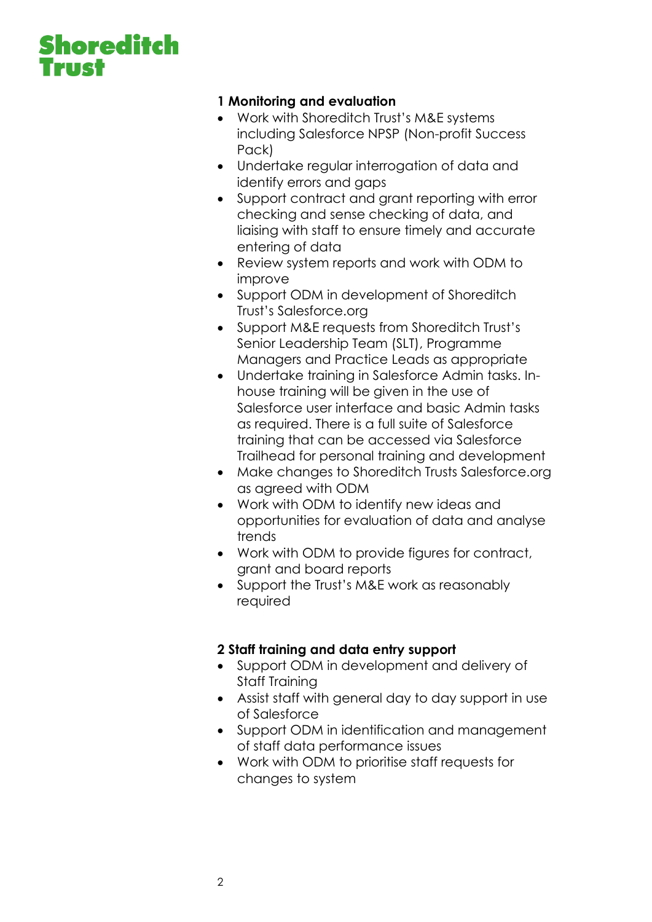# **Shoreditch TIR!**

### **1 Monitoring and evaluation**

- Work with Shoreditch Trust's M&E systems including Salesforce NPSP (Non-profit Success Pack)
- Undertake regular interrogation of data and identify errors and gaps
- Support contract and grant reporting with error checking and sense checking of data, and liaising with staff to ensure timely and accurate entering of data
- Review system reports and work with ODM to improve
- Support ODM in development of Shoreditch Trust's Salesforce.org
- Support M&E requests from Shoreditch Trust's Senior Leadership Team (SLT), Programme Managers and Practice Leads as appropriate
- Undertake training in Salesforce Admin tasks. Inhouse training will be given in the use of Salesforce user interface and basic Admin tasks as required. There is a full suite of Salesforce training that can be accessed via Salesforce Trailhead for personal training and development
- Make changes to Shoreditch Trusts Salesforce.org as agreed with ODM
- Work with ODM to identify new ideas and opportunities for evaluation of data and analyse trends
- Work with ODM to provide figures for contract, grant and board reports
- Support the Trust's M&E work as reasonably required

### **2 Staff training and data entry support**

- Support ODM in development and delivery of Staff Training
- Assist staff with general day to day support in use of Salesforce
- Support ODM in identification and management of staff data performance issues
- Work with ODM to prioritise staff requests for changes to system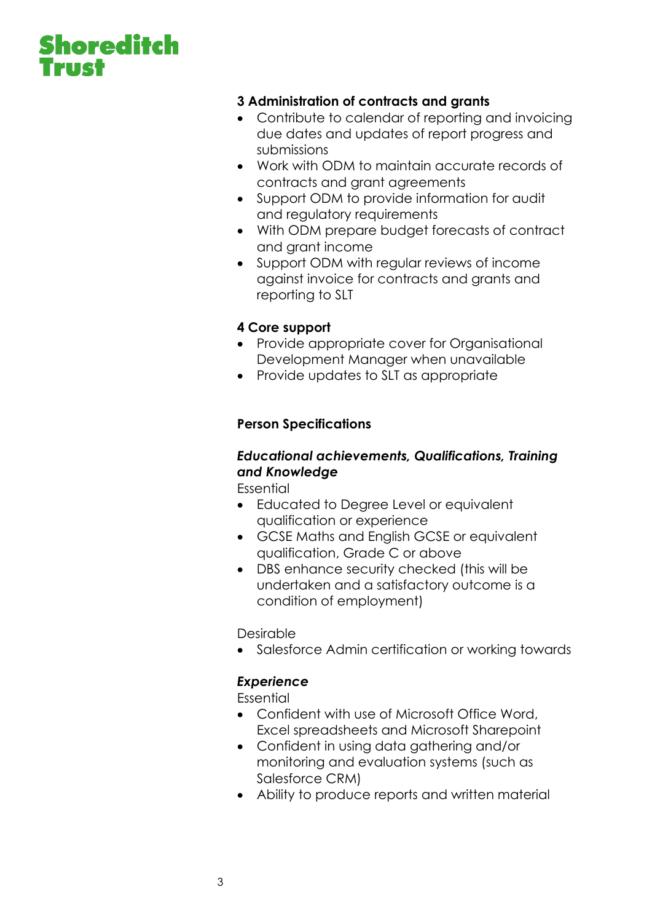# **Shoreditch**

### **3 Administration of contracts and grants**

- Contribute to calendar of reporting and invoicing due dates and updates of report progress and submissions
- Work with ODM to maintain accurate records of contracts and grant agreements
- Support ODM to provide information for audit and regulatory requirements
- With ODM prepare budget forecasts of contract and grant income
- Support ODM with regular reviews of income against invoice for contracts and grants and reporting to SLT

#### **4 Core support**

- Provide appropriate cover for Organisational Development Manager when unavailable
- Provide updates to SLT as appropriate

### **Person Specifications**

### *Educational achievements, Qualifications, Training and Knowledge*

Essential

- Educated to Degree Level or equivalent qualification or experience
- GCSE Maths and English GCSE or equivalent qualification, Grade C or above
- DBS enhance security checked (this will be undertaken and a satisfactory outcome is a condition of employment)

Desirable

• Salesforce Admin certification or working towards

### *Experience*

Essential

- Confident with use of Microsoft Office Word, Excel spreadsheets and Microsoft Sharepoint
- Confident in using data gathering and/or monitoring and evaluation systems (such as Salesforce CRM)
- Ability to produce reports and written material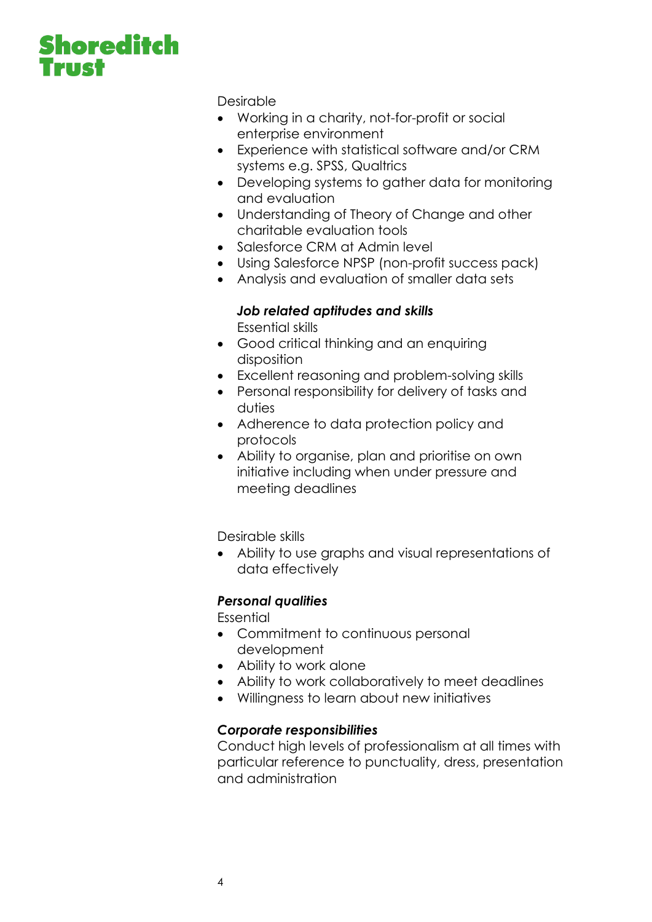# **Shoreditch AIR**

Desirable

- Working in a charity, not-for-profit or social enterprise environment
- Experience with statistical software and/or CRM systems e.g. SPSS, Qualtrics
- Developing systems to gather data for monitoring and evaluation
- Understanding of Theory of Change and other charitable evaluation tools
- Salesforce CRM at Admin level
- Using Salesforce NPSP (non-profit success pack)
- Analysis and evaluation of smaller data sets

## *Job related aptitudes and skills*

Essential skills

- Good critical thinking and an enquiring disposition
- Excellent reasoning and problem-solving skills
- Personal responsibility for delivery of tasks and duties
- Adherence to data protection policy and protocols
- Ability to organise, plan and prioritise on own initiative including when under pressure and meeting deadlines

Desirable skills

• Ability to use graphs and visual representations of data effectively

### *Personal qualities*

Essential

- Commitment to continuous personal development
- Ability to work alone
- Ability to work collaboratively to meet deadlines
- Willingness to learn about new initiatives

### *Corporate responsibilities*

Conduct high levels of professionalism at all times with particular reference to punctuality, dress, presentation and administration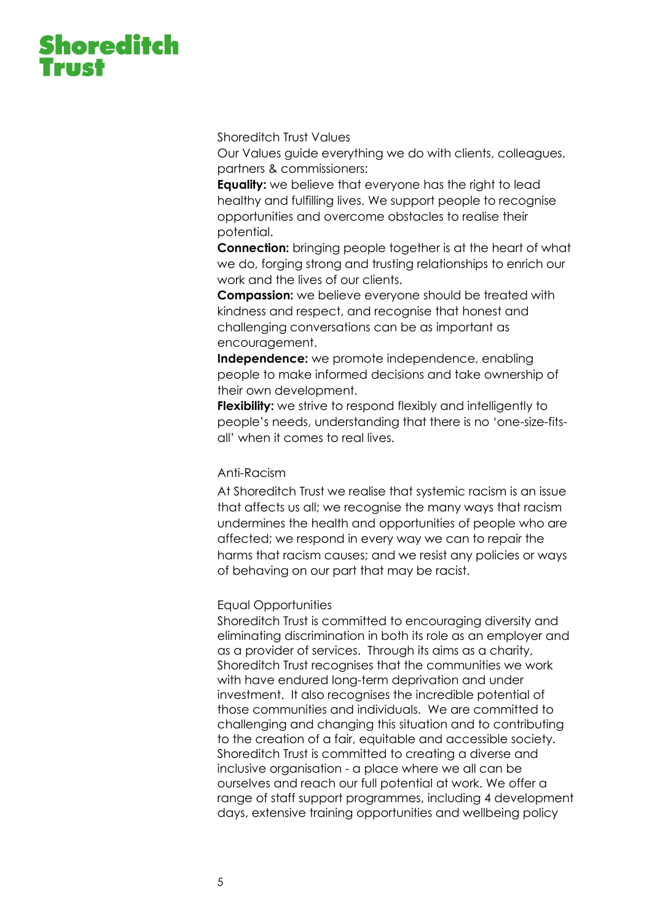# **Shoreditch**

Shoreditch Trust Values

Our Values guide everything we do with clients, colleagues, partners & commissioners:

**Equality:** we believe that everyone has the right to lead healthy and fulfilling lives. We support people to recognise opportunities and overcome obstacles to realise their potential.

**Connection:** bringing people together is at the heart of what we do, forging strong and trusting relationships to enrich our work and the lives of our clients.

**Compassion:** we believe everyone should be treated with kindness and respect, and recognise that honest and challenging conversations can be as important as encouragement.

**Independence:** we promote independence, enabling people to make informed decisions and take ownership of their own development.

**Flexibility:** we strive to respond flexibly and intelligently to people's needs, understanding that there is no 'one-size-fitsall' when it comes to real lives.

#### Anti-Racism

At Shoreditch Trust we realise that systemic racism is an issue that affects us all; we recognise the many ways that racism undermines the health and opportunities of people who are affected; we respond in every way we can to repair the harms that racism causes; and we resist any policies or ways of behaving on our part that may be racist.

#### Equal Opportunities

Shoreditch Trust is committed to encouraging diversity and eliminating discrimination in both its role as an employer and as a provider of services. Through its aims as a charity, Shoreditch Trust recognises that the communities we work with have endured long-term deprivation and under investment. It also recognises the incredible potential of those communities and individuals. We are committed to challenging and changing this situation and to contributing to the creation of a fair, equitable and accessible society. Shoreditch Trust is committed to creating a diverse and inclusive organisation - a place where we all can be ourselves and reach our full potential at work. We offer a range of staff support programmes, including 4 development days, extensive training opportunities and wellbeing policy